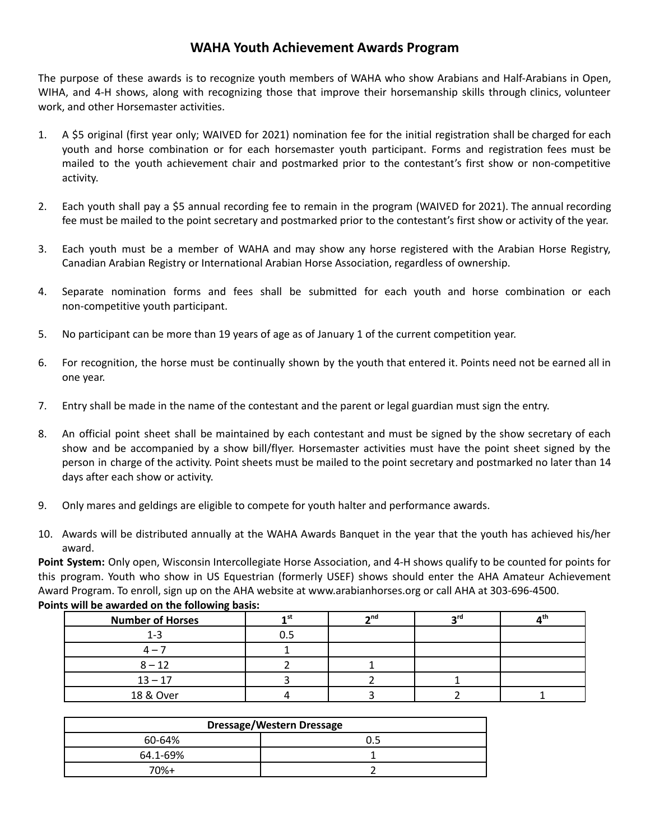## **WAHA Youth Achievement Awards Program**

The purpose of these awards is to recognize youth members of WAHA who show Arabians and Half-Arabians in Open, WIHA, and 4-H shows, along with recognizing those that improve their horsemanship skills through clinics, volunteer work, and other Horsemaster activities.

- 1. A \$5 original (first year only; WAIVED for 2021) nomination fee for the initial registration shall be charged for each youth and horse combination or for each horsemaster youth participant. Forms and registration fees must be mailed to the youth achievement chair and postmarked prior to the contestant's first show or non-competitive activity.
- 2. Each youth shall pay a \$5 annual recording fee to remain in the program (WAIVED for 2021). The annual recording fee must be mailed to the point secretary and postmarked prior to the contestant's first show or activity of the year.
- 3. Each youth must be a member of WAHA and may show any horse registered with the Arabian Horse Registry, Canadian Arabian Registry or International Arabian Horse Association, regardless of ownership.
- 4. Separate nomination forms and fees shall be submitted for each youth and horse combination or each non-competitive youth participant.
- 5. No participant can be more than 19 years of age as of January 1 of the current competition year.
- 6. For recognition, the horse must be continually shown by the youth that entered it. Points need not be earned all in one year.
- 7. Entry shall be made in the name of the contestant and the parent or legal guardian must sign the entry.
- 8. An official point sheet shall be maintained by each contestant and must be signed by the show secretary of each show and be accompanied by a show bill/flyer. Horsemaster activities must have the point sheet signed by the person in charge of the activity. Point sheets must be mailed to the point secretary and postmarked no later than 14 days after each show or activity.
- 9. Only mares and geldings are eligible to compete for youth halter and performance awards.
- 10. Awards will be distributed annually at the WAHA Awards Banquet in the year that the youth has achieved his/her award.

**Point System:** Only open, Wisconsin Intercollegiate Horse Association, and 4-H shows qualify to be counted for points for this program. Youth who show in US Equestrian (formerly USEF) shows should enter the AHA Amateur Achievement Award Program. To enroll, sign up on the AHA website at www.arabianhorses.org or call AHA at 303-696-4500. **Points will be awarded on the following basis:**

| $\overline{\phantom{a}}$<br><b>Number of Horses</b> | 4 st | $\mathbf{A}$ nd | უrd | a th |
|-----------------------------------------------------|------|-----------------|-----|------|
| $1 - 3$                                             | 0.5  |                 |     |      |
| $\Delta -$                                          |      |                 |     |      |
| $8 - 12$                                            |      |                 |     |      |
| $13 - 17$                                           |      |                 |     |      |
| 18 & Over                                           |      |                 |     |      |

| <b>Dressage/Western Dressage</b> |  |  |  |  |
|----------------------------------|--|--|--|--|
| 60-64%                           |  |  |  |  |
| 64.1-69%                         |  |  |  |  |
| $70%+$                           |  |  |  |  |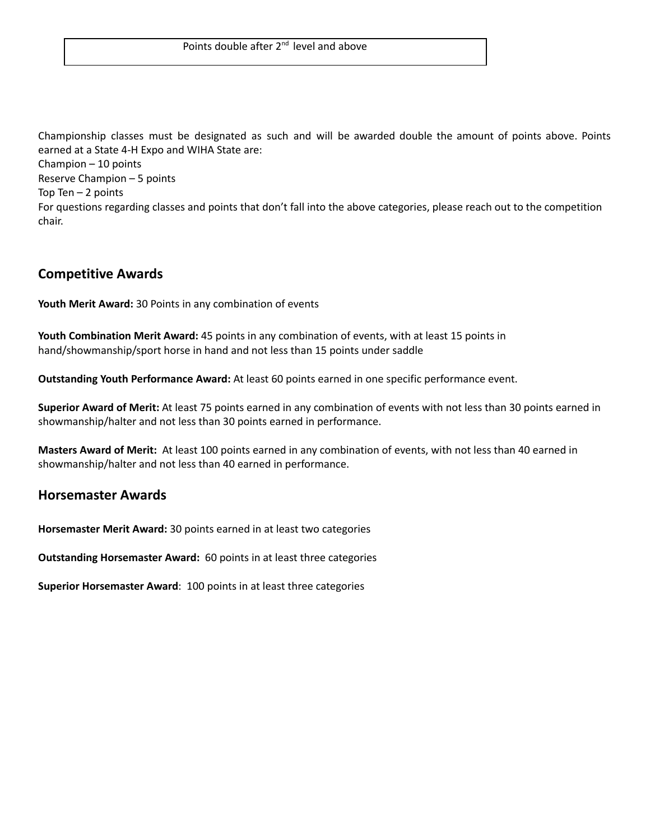Championship classes must be designated as such and will be awarded double the amount of points above. Points earned at a State 4-H Expo and WIHA State are:

Champion – 10 points Reserve Champion – 5 points Top Ten  $-2$  points For questions regarding classes and points that don't fall into the above categories, please reach out to the competition chair.

### **Competitive Awards**

**Youth Merit Award:** 30 Points in any combination of events

**Youth Combination Merit Award:** 45 points in any combination of events, with at least 15 points in hand/showmanship/sport horse in hand and not less than 15 points under saddle

**Outstanding Youth Performance Award:** At least 60 points earned in one specific performance event.

**Superior Award of Merit:** At least 75 points earned in any combination of events with not less than 30 points earned in showmanship/halter and not less than 30 points earned in performance.

**Masters Award of Merit:** At least 100 points earned in any combination of events, with not less than 40 earned in showmanship/halter and not less than 40 earned in performance.

### **Horsemaster Awards**

**Horsemaster Merit Award:** 30 points earned in at least two categories

**Outstanding Horsemaster Award:** 60 points in at least three categories

**Superior Horsemaster Award**: 100 points in at least three categories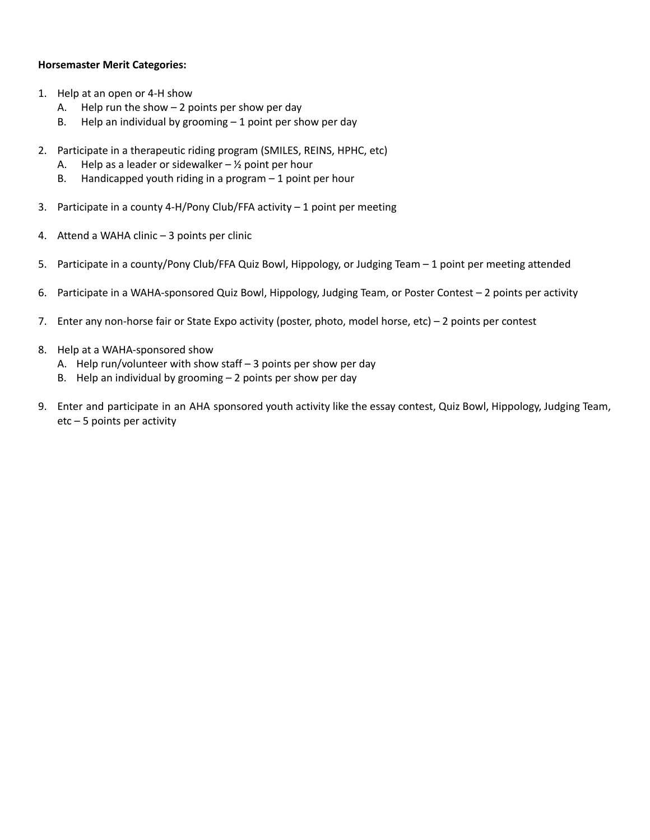#### **Horsemaster Merit Categories:**

- 1. Help at an open or 4-H show
	- A. Help run the show  $-2$  points per show per day
	- B. Help an individual by grooming  $-1$  point per show per day
- 2. Participate in a therapeutic riding program (SMILES, REINS, HPHC, etc)
	- A. Help as a leader or sidewalker  $\frac{1}{2}$  point per hour
	- B. Handicapped youth riding in a program 1 point per hour
- 3. Participate in a county 4-H/Pony Club/FFA activity  $-1$  point per meeting
- 4. Attend a WAHA clinic 3 points per clinic
- 5. Participate in a county/Pony Club/FFA Quiz Bowl, Hippology, or Judging Team 1 point per meeting attended
- 6. Participate in a WAHA-sponsored Quiz Bowl, Hippology, Judging Team, or Poster Contest 2 points per activity
- 7. Enter any non-horse fair or State Expo activity (poster, photo, model horse, etc) 2 points per contest
- 8. Help at a WAHA-sponsored show
	- A. Help run/volunteer with show staff 3 points per show per day
	- B. Help an individual by grooming 2 points per show per day
- 9. Enter and participate in an AHA sponsored youth activity like the essay contest, Quiz Bowl, Hippology, Judging Team, etc – 5 points per activity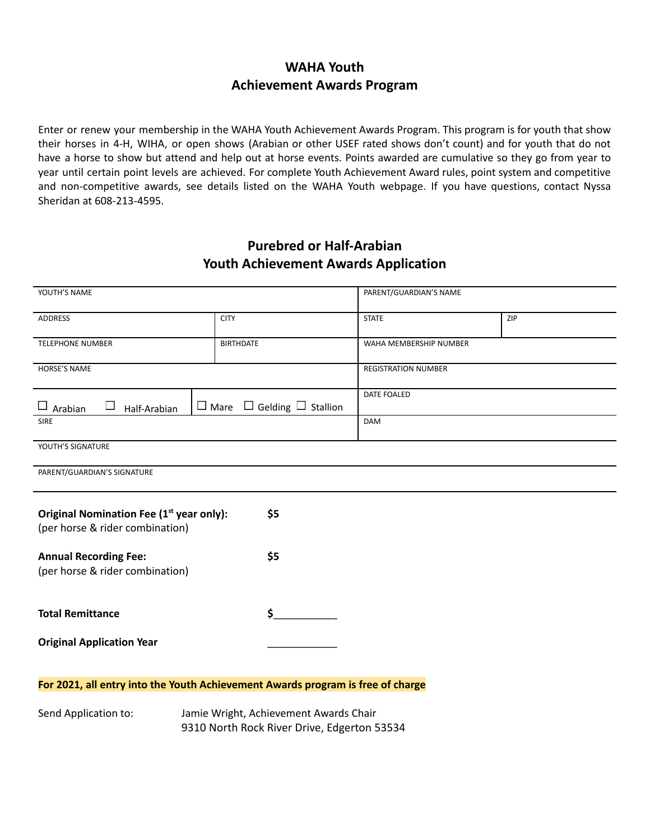# **WAHA Youth Achievement Awards Program**

Enter or renew your membership in the WAHA Youth Achievement Awards Program. This program is for youth that show their horses in 4-H, WIHA, or open shows (Arabian or other USEF rated shows don't count) and for youth that do not have a horse to show but attend and help out at horse events. Points awarded are cumulative so they go from year to year until certain point levels are achieved. For complete Youth Achievement Award rules, point system and competitive and non-competitive awards, see details listed on the WAHA Youth webpage. If you have questions, contact Nyssa Sheridan at 608-213-4595.

# **Purebred or Half-Arabian Youth Achievement Awards Application**

| YOUTH'S NAME                                                                                   |                                            | PARENT/GUARDIAN'S NAME     |     |  |  |  |
|------------------------------------------------------------------------------------------------|--------------------------------------------|----------------------------|-----|--|--|--|
| <b>ADDRESS</b>                                                                                 | <b>CITY</b>                                | <b>STATE</b>               | ZIP |  |  |  |
| <b>TELEPHONE NUMBER</b>                                                                        | <b>BIRTHDATE</b>                           | WAHA MEMBERSHIP NUMBER     |     |  |  |  |
| <b>HORSE'S NAME</b>                                                                            |                                            | <b>REGISTRATION NUMBER</b> |     |  |  |  |
| ⊔<br>$\Box$<br>Arabian<br>Half-Arabian                                                         | $\Box$ Mare $\Box$ Gelding $\Box$ Stallion | DATE FOALED                |     |  |  |  |
| <b>SIRE</b>                                                                                    |                                            | DAM                        |     |  |  |  |
| YOUTH'S SIGNATURE                                                                              |                                            |                            |     |  |  |  |
| PARENT/GUARDIAN'S SIGNATURE                                                                    |                                            |                            |     |  |  |  |
| Original Nomination Fee (1 <sup>st</sup> year only):<br>\$5<br>(per horse & rider combination) |                                            |                            |     |  |  |  |
| \$5<br><b>Annual Recording Fee:</b><br>(per horse & rider combination)                         |                                            |                            |     |  |  |  |
| \$<br><b>Total Remittance</b>                                                                  |                                            |                            |     |  |  |  |
| <b>Original Application Year</b>                                                               |                                            |                            |     |  |  |  |
| For 2021, all entry into the Youth Achievement Awards program is free of charge                |                                            |                            |     |  |  |  |
| Jamie Wright, Achievement Awards Chair<br>Cond Annlication to:                                 |                                            |                            |     |  |  |  |

Send Application to: Jamie Wright, Achievement Awards Chair 9310 North Rock River Drive, Edgerton 53534